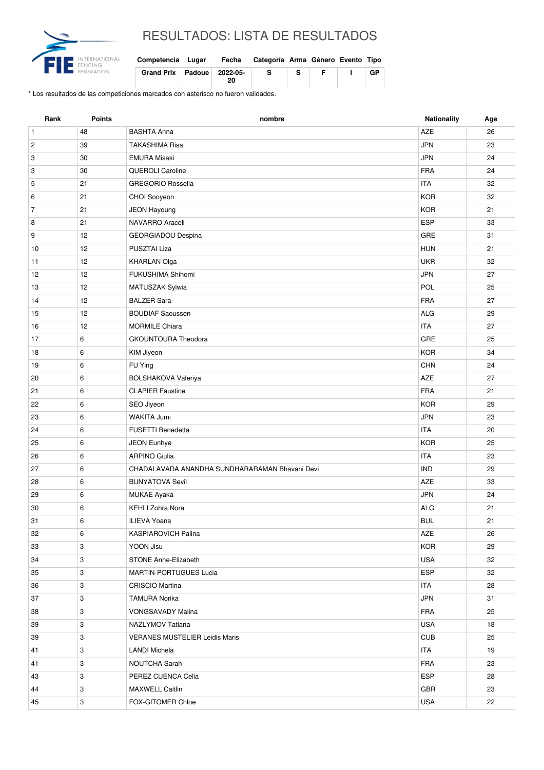

## RESULTADOS: LISTA DE RESULTADOS

| Competencia Lugar              |    | Fecha Categoría Arma Género Evento Tipo |    |   |    |
|--------------------------------|----|-----------------------------------------|----|---|----|
| Grand Prix   Padoue   2022-05- | 20 |                                         | -S | Е | GP |

\* Los resultados de las competiciones marcados con asterisco no fueron validados.

| Rank           | <b>Points</b> | nombre                                         | Nationality | Age |
|----------------|---------------|------------------------------------------------|-------------|-----|
| $\mathbf{1}$   | 48            | <b>BASHTA Anna</b>                             | <b>AZE</b>  | 26  |
| $\overline{c}$ | 39            | <b>TAKASHIMA Risa</b>                          | <b>JPN</b>  | 23  |
| 3              | 30            | <b>EMURA Misaki</b>                            | <b>JPN</b>  | 24  |
| 3              | 30            | QUEROLI Caroline                               | <b>FRA</b>  | 24  |
| 5              | 21            | <b>GREGORIO Rossella</b>                       | <b>ITA</b>  | 32  |
| 6              | 21            | CHOI Sooyeon                                   | <b>KOR</b>  | 32  |
| $\overline{7}$ | 21            | JEON Hayoung                                   | <b>KOR</b>  | 21  |
| 8              | 21            | NAVARRO Araceli                                | <b>ESP</b>  | 33  |
| 9              | 12            | GEORGIADOU Despina                             | GRE         | 31  |
| 10             | 12            | PUSZTAI Liza                                   | <b>HUN</b>  | 21  |
| 11             | 12            | <b>KHARLAN Olga</b>                            | <b>UKR</b>  | 32  |
| 12             | 12            | FUKUSHIMA Shihomi                              | <b>JPN</b>  | 27  |
| 13             | 12            | MATUSZAK Sylwia                                | POL         | 25  |
| 14             | 12            | <b>BALZER Sara</b>                             | <b>FRA</b>  | 27  |
| 15             | 12            | <b>BOUDIAF Saoussen</b>                        | <b>ALG</b>  | 29  |
| 16             | 12            | <b>MORMILE Chiara</b>                          | <b>ITA</b>  | 27  |
| 17             | 6             | GKOUNTOURA Theodora                            | GRE         | 25  |
| 18             | 6             | KIM Jiyeon                                     | <b>KOR</b>  | 34  |
| 19             | 6             | FU Ying                                        | CHN         | 24  |
| 20             | 6             | BOLSHAKOVA Valeriya                            | <b>AZE</b>  | 27  |
| 21             | 6             | <b>CLAPIER Faustine</b>                        | <b>FRA</b>  | 21  |
| 22             | 6             | SEO Jiyeon                                     | <b>KOR</b>  | 29  |
| 23             | 6             | WAKITA Jumi                                    | <b>JPN</b>  | 23  |
| 24             | 6             | <b>FUSETTI Benedetta</b>                       | <b>ITA</b>  | 20  |
| 25             | 6             | JEON Eunhye                                    | <b>KOR</b>  | 25  |
| 26             | 6             | <b>ARPINO Giulia</b>                           | <b>ITA</b>  | 23  |
| 27             | 6             | CHADALAVADA ANANDHA SUNDHARARAMAN Bhavani Devi | <b>IND</b>  | 29  |
| 28             | 6             | <b>BUNYATOVA Sevil</b>                         | AZE         | 33  |
| 29             | 6             | <b>MUKAE Ayaka</b>                             | <b>JPN</b>  | 24  |
| 30             | 6             | <b>KEHLI Zohra Nora</b>                        | <b>ALG</b>  | 21  |
| 31             | $\,6\,$       | ILIEVA Yoana                                   | <b>BUL</b>  | 21  |
| 32             | 6             | <b>KASPIAROVICH Palina</b>                     | AZE         | 26  |
| 33             | 3             | YOON Jisu                                      | <b>KOR</b>  | 29  |
| 34             | $\mathbf{3}$  | STONE Anne-Elizabeth                           | <b>USA</b>  | 32  |
| 35             | 3             | <b>MARTIN-PORTUGUES Lucia</b>                  | <b>ESP</b>  | 32  |
| 36             | 3             | <b>CRISCIO Martina</b>                         | <b>ITA</b>  | 28  |
| 37             | 3             | TAMURA Norika                                  | <b>JPN</b>  | 31  |
| 38             | 3             | <b>VONGSAVADY Malina</b>                       | <b>FRA</b>  | 25  |
| 39             | 3             | NAZLYMOV Tatiana                               | <b>USA</b>  | 18  |
| 39             | 3             | <b>VERANES MUSTELIER Leidis Maris</b>          | <b>CUB</b>  | 25  |
| 41             | 3             | <b>LANDI Michela</b>                           | <b>ITA</b>  | 19  |
| 41             | 3             | NOUTCHA Sarah                                  | <b>FRA</b>  | 23  |
| 43             | 3             | PEREZ CUENCA Celia                             | <b>ESP</b>  | 28  |
| 44             | 3             | MAXWELL Caitlin                                | GBR         | 23  |
| 45             | 3             | FOX-GITOMER Chloe                              | <b>USA</b>  | 22  |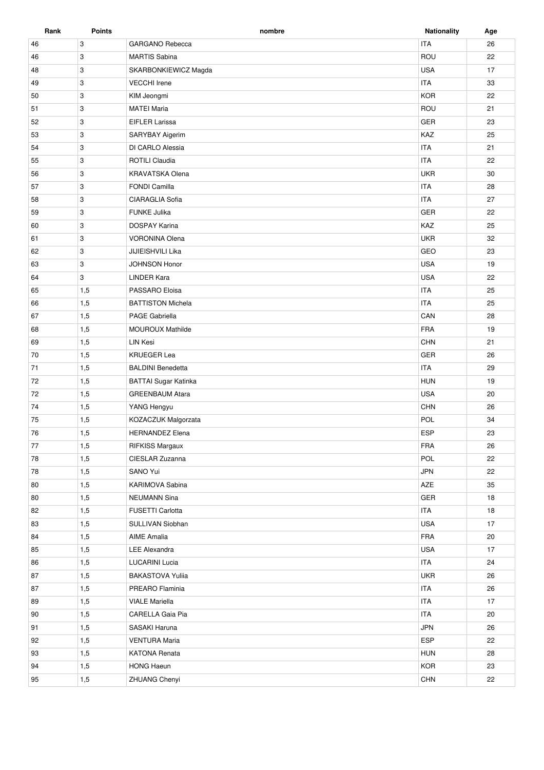| Rank | <b>Points</b> | nombre                   | <b>Nationality</b> | Age |
|------|---------------|--------------------------|--------------------|-----|
| 46   | 3             | <b>GARGANO Rebecca</b>   | <b>ITA</b>         | 26  |
| 46   | 3             | <b>MARTIS Sabina</b>     | ROU                | 22  |
| 48   | 3             | SKARBONKIEWICZ Magda     | <b>USA</b>         | 17  |
| 49   | 3             | <b>VECCHI</b> Irene      | <b>ITA</b>         | 33  |
| 50   | 3             | KIM Jeongmi              | <b>KOR</b>         | 22  |
| 51   | 3             | <b>MATEI Maria</b>       | ROU                | 21  |
| 52   | 3             | <b>EIFLER Larissa</b>    | GER                | 23  |
| 53   | 3             | SARYBAY Aigerim          | KAZ                | 25  |
| 54   | 3             | DI CARLO Alessia         | <b>ITA</b>         | 21  |
| 55   | 3             | ROTILI Claudia           | <b>ITA</b>         | 22  |
| 56   | 3             | <b>KRAVATSKA Olena</b>   | <b>UKR</b>         | 30  |
| 57   | 3             | <b>FONDI Camilla</b>     | <b>ITA</b>         | 28  |
| 58   | 3             | CIARAGLIA Sofia          | <b>ITA</b>         | 27  |
| 59   | 3             | <b>FUNKE Julika</b>      | GER                | 22  |
| 60   | 3             | <b>DOSPAY Karina</b>     | KAZ                | 25  |
| 61   | 3             | VORONINA Olena           | <b>UKR</b>         | 32  |
| 62   | 3             | JIJIEISHVILI Lika        | GEO                | 23  |
| 63   | 3             | <b>JOHNSON Honor</b>     | <b>USA</b>         | 19  |
| 64   | 3             | <b>LINDER Kara</b>       | <b>USA</b>         | 22  |
| 65   | 1,5           | PASSARO Eloisa           | <b>ITA</b>         | 25  |
| 66   | 1,5           | <b>BATTISTON Michela</b> | <b>ITA</b>         | 25  |
| 67   | 1,5           | PAGE Gabriella           | CAN                | 28  |
| 68   | 1,5           | <b>MOUROUX Mathilde</b>  | <b>FRA</b>         | 19  |
| 69   | 1,5           | LIN Kesi                 | CHN                | 21  |
| 70   | 1,5           | <b>KRUEGER Lea</b>       | GER                | 26  |
| 71   | 1,5           | <b>BALDINI Benedetta</b> | <b>ITA</b>         | 29  |
| 72   | 1,5           | BATTAI Sugar Katinka     | <b>HUN</b>         | 19  |
| 72   | 1,5           | <b>GREENBAUM Atara</b>   | <b>USA</b>         | 20  |
| 74   | 1,5           | YANG Hengyu              | <b>CHN</b>         | 26  |
| 75   | 1,5           | KOZACZUK Malgorzata      | POL                | 34  |
| 76   | 1,5           | <b>HERNANDEZ Elena</b>   | <b>ESP</b>         | 23  |
| 77   | 1,5           | RIFKISS Margaux          | <b>FRA</b>         | 26  |
| 78   | 1,5           | CIESLAR Zuzanna          | POL                | 22  |
| 78   | 1,5           | SANO Yui                 | <b>JPN</b>         | 22  |
| 80   | 1,5           | KARIMOVA Sabina          | AZE                | 35  |
| 80   | 1,5           | <b>NEUMANN Sina</b>      | GER                | 18  |
| 82   | 1,5           | <b>FUSETTI Carlotta</b>  | <b>ITA</b>         | 18  |
| 83   | 1,5           | SULLIVAN Siobhan         | <b>USA</b>         | 17  |
| 84   | 1,5           | <b>AIME Amalia</b>       | <b>FRA</b>         | 20  |
| 85   | 1,5           | <b>LEE Alexandra</b>     | <b>USA</b>         | 17  |
| 86   | 1,5           | <b>LUCARINI Lucia</b>    | <b>ITA</b>         | 24  |
| 87   | 1,5           | <b>BAKASTOVA Yuliia</b>  | <b>UKR</b>         | 26  |
| 87   | 1,5           | PREARO Flaminia          | <b>ITA</b>         | 26  |
| 89   | 1,5           | <b>VIALE Mariella</b>    | <b>ITA</b>         | 17  |
| 90   | 1,5           | CARELLA Gaia Pia         | <b>ITA</b>         | 20  |
| 91   | 1,5           | SASAKI Haruna            | <b>JPN</b>         | 26  |
| 92   | 1,5           | <b>VENTURA Maria</b>     | ESP                | 22  |
| 93   | 1,5           | <b>KATONA Renata</b>     | <b>HUN</b>         | 28  |
| 94   | 1,5           | <b>HONG Haeun</b>        | <b>KOR</b>         | 23  |
| 95   | 1,5           | ZHUANG Chenyi            | CHN                | 22  |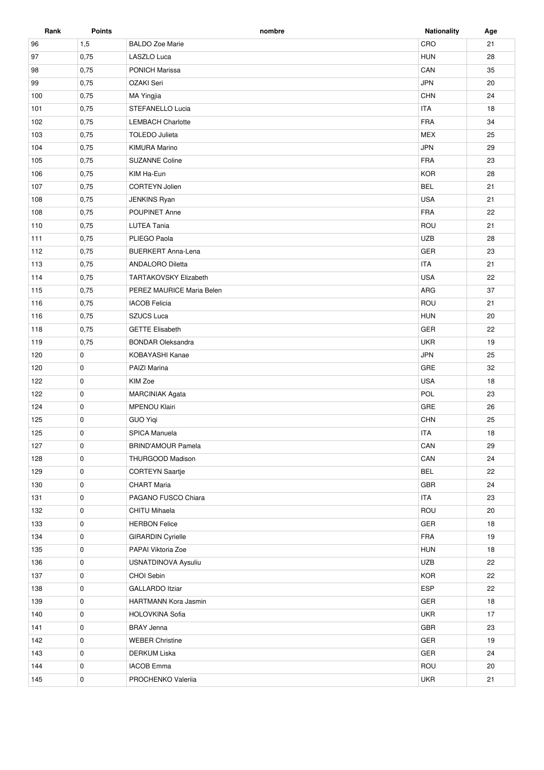| Rank | <b>Points</b> | nombre                       | <b>Nationality</b> | Age |
|------|---------------|------------------------------|--------------------|-----|
| 96   | 1,5           | <b>BALDO Zoe Marie</b>       | CRO                | 21  |
| 97   | 0,75          | LASZLO Luca                  | <b>HUN</b>         | 28  |
| 98   | 0,75          | <b>PONICH Marissa</b>        | CAN                | 35  |
| 99   | 0,75          | OZAKI Seri                   | <b>JPN</b>         | 20  |
| 100  | 0,75          | MA Yingjia                   | <b>CHN</b>         | 24  |
| 101  | 0,75          | STEFANELLO Lucia             | <b>ITA</b>         | 18  |
| 102  | 0,75          | <b>LEMBACH Charlotte</b>     | <b>FRA</b>         | 34  |
| 103  | 0,75          | <b>TOLEDO Julieta</b>        | <b>MEX</b>         | 25  |
| 104  | 0,75          | <b>KIMURA Marino</b>         | <b>JPN</b>         | 29  |
| 105  | 0,75          | <b>SUZANNE Coline</b>        | <b>FRA</b>         | 23  |
| 106  | 0,75          | KIM Ha-Eun                   | <b>KOR</b>         | 28  |
| 107  | 0,75          | CORTEYN Jolien               | <b>BEL</b>         | 21  |
| 108  | 0,75          | <b>JENKINS Ryan</b>          | <b>USA</b>         | 21  |
| 108  | 0,75          | <b>POUPINET Anne</b>         | <b>FRA</b>         | 22  |
| 110  | 0,75          | <b>LUTEA Tania</b>           | ROU                | 21  |
| 111  | 0,75          | PLIEGO Paola                 | <b>UZB</b>         | 28  |
| 112  | 0,75          | <b>BUERKERT Anna-Lena</b>    | GER                | 23  |
| 113  | 0,75          | <b>ANDALORO Diletta</b>      | <b>ITA</b>         | 21  |
| 114  | 0,75          | <b>TARTAKOVSKY Elizabeth</b> | <b>USA</b>         | 22  |
| 115  | 0,75          | PEREZ MAURICE Maria Belen    | ARG                | 37  |
| 116  | 0,75          | <b>IACOB Felicia</b>         | ROU                | 21  |
| 116  | 0,75          | <b>SZUCS Luca</b>            | <b>HUN</b>         | 20  |
| 118  | 0,75          | <b>GETTE Elisabeth</b>       | <b>GER</b>         | 22  |
| 119  | 0,75          | <b>BONDAR Oleksandra</b>     | <b>UKR</b>         | 19  |
| 120  | 0             | KOBAYASHI Kanae              | <b>JPN</b>         | 25  |
| 120  | 0             | PAIZI Marina                 | GRE                | 32  |
| 122  | 0             | KIM Zoe                      | <b>USA</b>         | 18  |
| 122  | 0             | <b>MARCINIAK Agata</b>       | POL                | 23  |
| 124  | 0             | <b>MPENOU Klairi</b>         | GRE                | 26  |
| 125  | 0             | <b>GUO Yigi</b>              | CHN                | 25  |
| 125  | $\mathbf 0$   | <b>SPICA Manuela</b>         | <b>ITA</b>         | 18  |
| 127  | 0             | <b>BRIND'AMOUR Pamela</b>    | CAN                | 29  |
| 128  | 0             | THURGOOD Madison             | CAN                | 24  |
| 129  | 0             | <b>CORTEYN Saartje</b>       | <b>BEL</b>         | 22  |
| 130  | 0             | <b>CHART Maria</b>           | GBR                | 24  |
| 131  | 0             | PAGANO FUSCO Chiara          | <b>ITA</b>         | 23  |
| 132  | 0             | CHITU Mihaela                | ROU                | 20  |
| 133  | 0             | <b>HERBON Felice</b>         | GER                | 18  |
| 134  | 0             | <b>GIRARDIN Cyrielle</b>     | FRA                | 19  |
| 135  | 0             | PAPAI Viktoria Zoe           | <b>HUN</b>         | 18  |
| 136  | 0             | USNATDINOVA Aysuliu          | <b>UZB</b>         | 22  |
| 137  | 0             | CHOI Sebin                   | <b>KOR</b>         | 22  |
| 138  | 0             | <b>GALLARDO</b> Itziar       | <b>ESP</b>         | 22  |
| 139  | 0             | HARTMANN Kora Jasmin         | GER                | 18  |
| 140  | 0             | <b>HOLOVKINA Sofia</b>       | <b>UKR</b>         | 17  |
| 141  | 0             | <b>BRAY Jenna</b>            | GBR                | 23  |
| 142  | 0             | <b>WEBER Christine</b>       | GER                | 19  |
| 143  | 0             | <b>DERKUM Liska</b>          | GER                | 24  |
| 144  | 0             | <b>IACOB</b> Emma            | ROU                | 20  |
| 145  | 0             | PROCHENKO Valeriia           | <b>UKR</b>         | 21  |
|      |               |                              |                    |     |